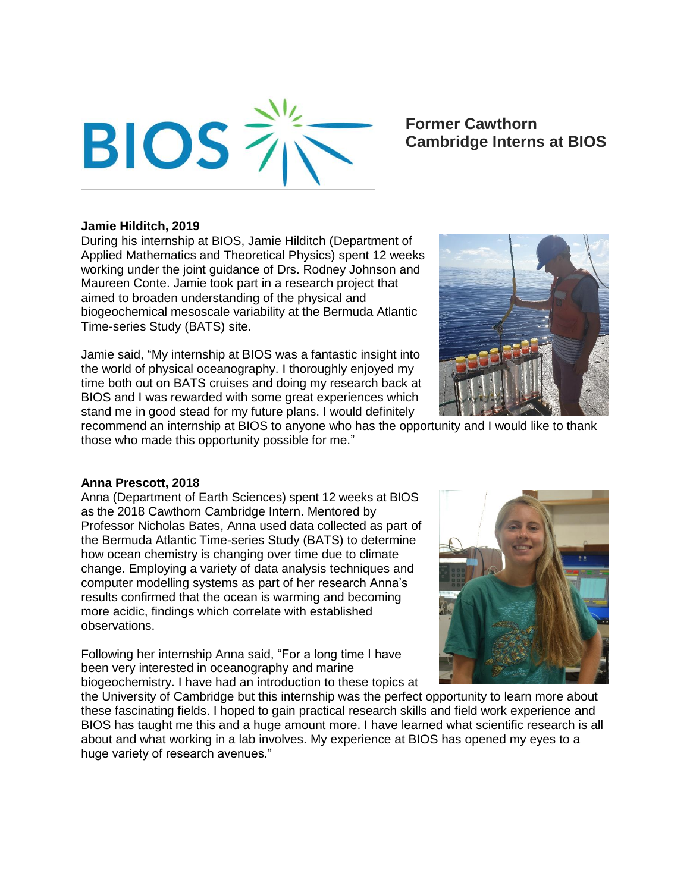

# **Former Cawthorn Cambridge Interns at BIOS**

#### **Jamie Hilditch, 2019**

During his internship at BIOS, Jamie Hilditch (Department of Applied Mathematics and Theoretical Physics) spent 12 weeks working under the joint guidance of Drs. Rodney Johnson and Maureen Conte. Jamie took part in a research project that aimed to broaden understanding of the physical and biogeochemical mesoscale variability at the Bermuda Atlantic Time-series Study (BATS) site.

Jamie said, "My internship at BIOS was a fantastic insight into the world of physical oceanography. I thoroughly enjoyed my time both out on BATS cruises and doing my research back at BIOS and I was rewarded with some great experiences which stand me in good stead for my future plans. I would definitely



recommend an internship at BIOS to anyone who has the opportunity and I would like to thank those who made this opportunity possible for me."

#### **Anna Prescott, 2018**

Anna (Department of Earth Sciences) spent 12 weeks at BIOS as the 2018 Cawthorn Cambridge Intern. Mentored by Professor Nicholas Bates, Anna used data collected as part of the Bermuda Atlantic Time-series Study (BATS) to determine how ocean chemistry is changing over time due to climate change. Employing a variety of data analysis techniques and computer modelling systems as part of her research Anna's results confirmed that the ocean is warming and becoming more acidic, findings which correlate with established observations.

Following her internship Anna said, "For a long time I have been very interested in oceanography and marine biogeochemistry. I have had an introduction to these topics at



the University of Cambridge but this internship was the perfect opportunity to learn more about these fascinating fields. I hoped to gain practical research skills and field work experience and BIOS has taught me this and a huge amount more. I have learned what scientific research is all about and what working in a lab involves. My experience at BIOS has opened my eyes to a huge variety of research avenues."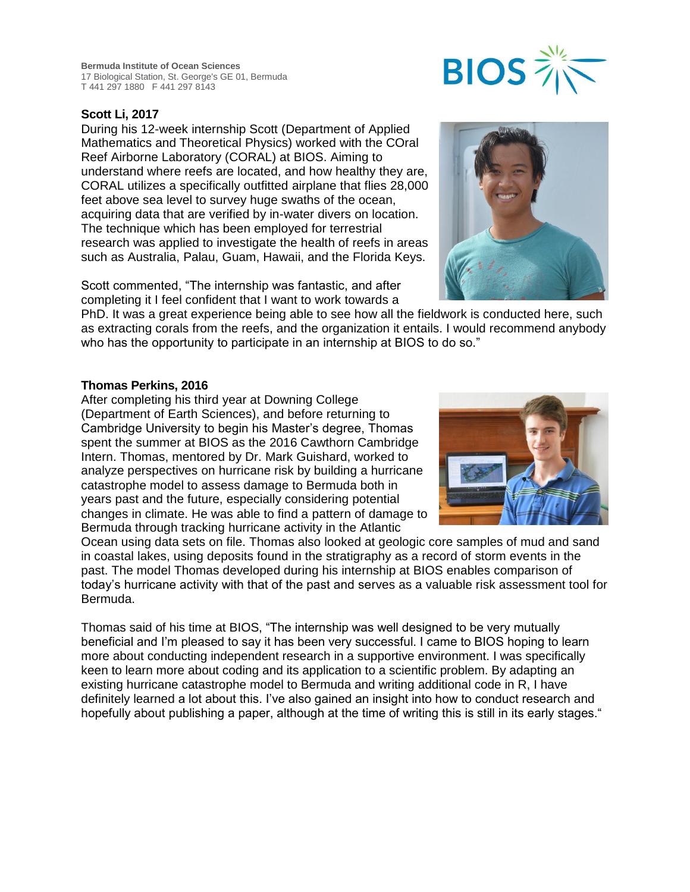**Bermuda Institute of Ocean Sciences** 17 Biological Station, St. George's GE 01, Bermuda T 441 297 1880 F 441 297 8143

## **Scott Li, 2017**

During his 12-week internship Scott (Department of Applied Mathematics and Theoretical Physics) worked with the COral Reef Airborne Laboratory (CORAL) at BIOS. Aiming to understand where reefs are located, and how healthy they are, CORAL utilizes a specifically outfitted airplane that flies 28,000 feet above sea level to survey huge swaths of the ocean, acquiring data that are verified by in-water divers on location. The technique which has been employed for terrestrial research was applied to investigate the health of reefs in areas such as Australia, Palau, Guam, Hawaii, and the Florida Keys.

Scott commented, "The internship was fantastic, and after completing it I feel confident that I want to work towards a

PhD. It was a great experience being able to see how all the fieldwork is conducted here, such as extracting corals from the reefs, and the organization it entails. I would recommend anybody who has the opportunity to participate in an internship at BIOS to do so."

#### **Thomas Perkins, 2016**

After completing his third year at Downing College (Department of Earth Sciences), and before returning to Cambridge University to begin his Master's degree, Thomas spent the summer at BIOS as the 2016 Cawthorn Cambridge Intern. Thomas, mentored by Dr. Mark Guishard, worked to analyze perspectives on hurricane risk by building a hurricane catastrophe model to assess damage to Bermuda both in years past and the future, especially considering potential changes in climate. He was able to find a pattern of damage to Bermuda through tracking hurricane activity in the Atlantic

Ocean using data sets on file. Thomas also looked at geologic core samples of mud and sand in coastal lakes, using deposits found in the stratigraphy as a record of storm events in the past. The model Thomas developed during his internship at BIOS enables comparison of today's hurricane activity with that of the past and serves as a valuable risk assessment tool for Bermuda.

Thomas said of his time at BIOS, "The internship was well designed to be very mutually beneficial and I'm pleased to say it has been very successful. I came to BIOS hoping to learn more about conducting independent research in a supportive environment. I was specifically keen to learn more about coding and its application to a scientific problem. By adapting an existing hurricane catastrophe model to Bermuda and writing additional code in R, I have definitely learned a lot about this. I've also gained an insight into how to conduct research and hopefully about publishing a paper, although at the time of writing this is still in its early stages."